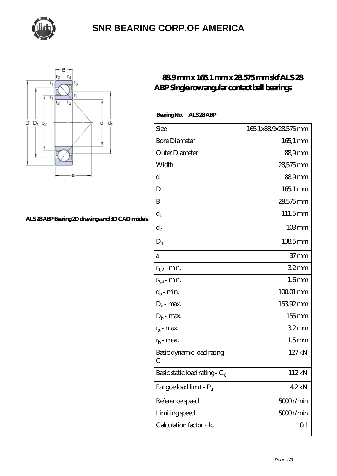

### **[SNR BEARING CORP.OF AMERICA](https://thebestofquebec.com)**



#### **[ALS 28 ABP Bearing 2D drawings and 3D CAD models](https://thebestofquebec.com/pic-64978781.html)**

### **[88.9 mm x 165.1 mm x 28.575 mm skf ALS 28](https://thebestofquebec.com/bs-64978781-skf-als-28-abp-single-row-angular-contact-ball-bearings.html) [ABP Single row angular contact ball bearings](https://thebestofquebec.com/bs-64978781-skf-als-28-abp-single-row-angular-contact-ball-bearings.html)**

Bearing No. ALS 28 ABP

| Size                             | 165.1x889x28.575mm |
|----------------------------------|--------------------|
| <b>Bore Diameter</b>             | $165$ , 1 mm       |
| Outer Diameter                   | 88,9mm             |
| Width                            | 28,575mm           |
| d                                | 889mm              |
| D                                | 165.1 mm           |
| B                                | 28575mm            |
| $d_1$                            | 111.5mm            |
| $\mathrm{d}_2$                   | $103 \text{mm}$    |
| $D_1$                            | 1385mm             |
| а                                | 37 <sub>mm</sub>   |
| $r_{1,2}$ - min.                 | 32mm               |
| $r_{34}$ - min.                  | 1.6 <sub>mm</sub>  |
| $d_a$ - min.                     | $10001$ mm         |
| $D_a$ - max.                     | 15392mm            |
| $D_b$ - max.                     | $155$ mm           |
| $r_a$ - max.                     | 32 <sub>mm</sub>   |
| $r_{b}$ - max.                   | 1.5 <sub>mm</sub>  |
| Basic dynamic load rating-<br>С  | 127kN              |
| Basic static load rating - $C_0$ | 112kN              |
| Fatigue load limit - Pu          | 42kN               |
| Reference speed                  | 5000r/min          |
| Limiting speed                   | 5000r/min          |
| Calculation factor - $k_r$       | Q <sub>1</sub>     |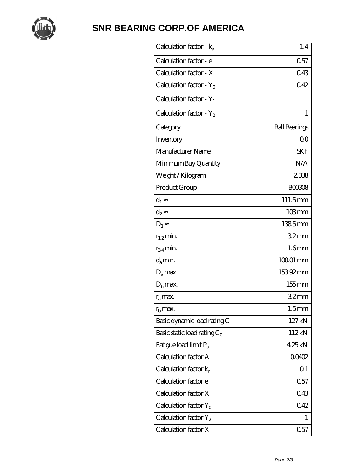

# **[SNR BEARING CORP.OF AMERICA](https://thebestofquebec.com)**

| Calculation factor - $k_a$     | 1.4                  |
|--------------------------------|----------------------|
| Calculation factor - e         | 0.57                 |
| Calculation factor - X         | 043                  |
| Calculation factor - $Y_0$     | 042                  |
| Calculation factor - $Y_1$     |                      |
| Calculation factor - $Y_2$     | 1                    |
| Category                       | <b>Ball Bearings</b> |
| Inventory                      | 0 <sup>0</sup>       |
| Manufacturer Name              | <b>SKF</b>           |
| Minimum Buy Quantity           | N/A                  |
| Weight/Kilogram                | 2338                 |
| Product Group                  | <b>BOO308</b>        |
| $d_1$                          | 111.5mm              |
| $d_2$                          | $103 \, \text{mm}$   |
| $D_1$                          | 1385mm               |
| $r_{1,2}$ min.                 | 32 <sub>mm</sub>     |
| $r_{34}$ min.                  | 1.6 <sub>mm</sub>    |
| $d_{a}$ min.                   | $10001$ mm           |
| $D_a$ max.                     | 15392mm              |
| $Db$ max.                      | $155$ mm             |
| $r_a$ max.                     | 32mm                 |
| $rb$ max.                      | 1.5 <sub>mm</sub>    |
| Basic dynamic load rating C    | 127kN                |
| Basic static load rating $C_0$ | 112kN                |
| Fatigue load limit $P_u$       | 425kN                |
| Calculation factor A           | 00402                |
| Calculation factor $k_r$       | Q <sub>1</sub>       |
| Calculation factor e           | 0.57                 |
| Calculation factor X           | 043                  |
| Calculation factor $Y_0$       | 042                  |
| Calculation factor $Y_2$       | 1                    |
| Calculation factor X           | 0.57                 |